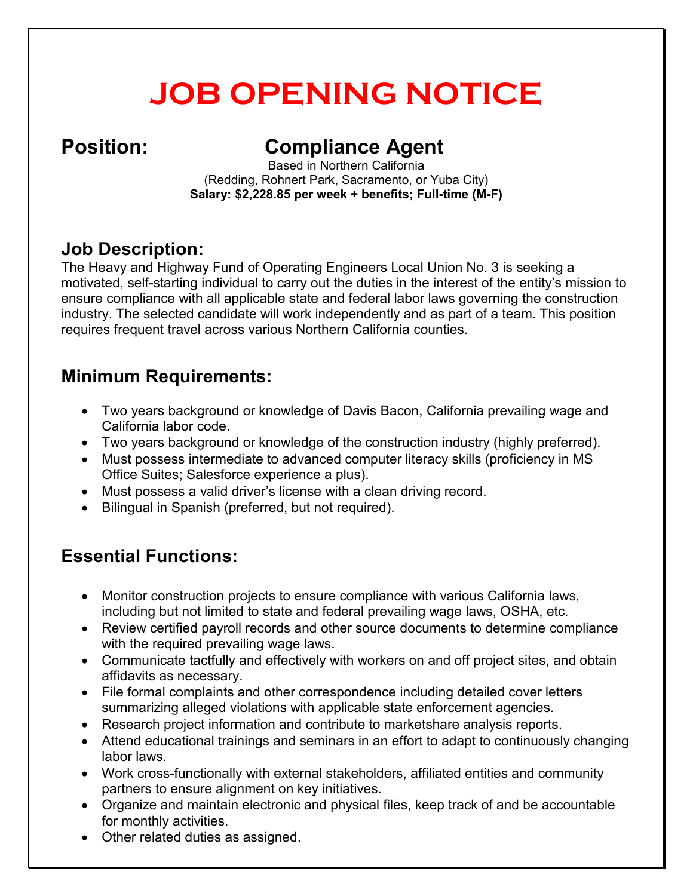# **JOB OPENING NOTICE**

## **Position: Compliance Agent**

Based in Northern California (Redding, Rohnert Park, Sacramento, or Yuba City) **Salary: \$2,228.85 per week + benefits; Full-time (M-F)**

#### **Job Description:**

The Heavy and Highway Fund of Operating Engineers Local Union No. 3 is seeking a motivated, self-starting individual to carry out the duties in the interest of the entity's mission to ensure compliance with all applicable state and federal labor laws governing the construction industry. The selected candidate will work independently and as part of a team. This position requires frequent travel across various Northern California counties.

### **Minimum Requirements:**

- Two years background or knowledge of Davis Bacon, California prevailing wage and California labor code.
- Two years background or knowledge of the construction industry (highly preferred).
- Must possess intermediate to advanced computer literacy skills (proficiency in MS Office Suites; Salesforce experience a plus).
- Must possess a valid driver's license with a clean driving record.
- Bilingual in Spanish (preferred, but not required).

#### **Essential Functions:**

- Monitor construction projects to ensure compliance with various California laws, including but not limited to state and federal prevailing wage laws, OSHA, etc.
- Review certified payroll records and other source documents to determine compliance with the required prevailing wage laws.
- Communicate tactfully and effectively with workers on and off project sites, and obtain affidavits as necessary.
- File formal complaints and other correspondence including detailed cover letters summarizing alleged violations with applicable state enforcement agencies.
- Research project information and contribute to marketshare analysis reports.
- Attend educational trainings and seminars in an effort to adapt to continuously changing labor laws.
- Work cross-functionally with external stakeholders, affiliated entities and community partners to ensure alignment on key initiatives.
- Organize and maintain electronic and physical files, keep track of and be accountable for monthly activities.
- Other related duties as assigned.